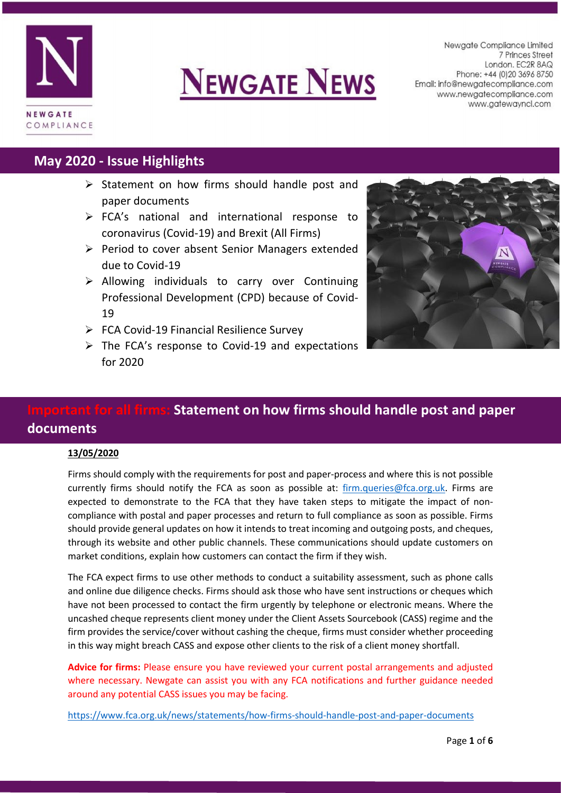

# **NEWGATE NEWS**

Newgate Compliance Limited 7 Princes Street London. EC2R 8AQ Phone: +44 (0) 20 3696 8750 Email: info@newgatecompliance.com www.newgatecompliance.com www.gatewayncl.com

# **May 2020 - Issue Highlights**

- $\triangleright$  Statement on how firms should handle post and paper documents
- $\triangleright$  FCA's national and international response to coronavirus (Covid-19) and Brexit (All Firms)
- $\triangleright$  Period to cover absent Senior Managers extended due to Covid-19
- $\triangleright$  Allowing individuals to carry over Continuing Professional Development (CPD) because of Covid-19
- $\triangleright$  FCA Covid-19 Financial Resilience Survey
- $\triangleright$  The FCA's response to Covid-19 and expectations for 2020



# **All firms: Statement on how firms should handle post and paper documents**

### **13/05/2020**

Firms should comply with the requirements for post and paper-process and where this is not possible currently firms should notify the FCA as soon as possible at: [firm.queries@fca.org.uk.](mailto:firm.queries@fca.org.uk) Firms are expected to demonstrate to the FCA that they have taken steps to mitigate the impact of noncompliance with postal and paper processes and return to full compliance as soon as possible. Firms should provide general updates on how it intends to treat incoming and outgoing posts, and cheques, through its website and other public channels. These communications should update customers on market conditions, explain how customers can contact the firm if they wish.

The FCA expect firms to use other methods to conduct a suitability assessment, such as phone calls and online due diligence checks. Firms should ask those who have sent instructions or cheques which have not been processed to contact the firm urgently by telephone or electronic means. Where the uncashed cheque represents client money under the Client Assets Sourcebook (CASS) regime and the firm provides the service/cover without cashing the cheque, firms must consider whether proceeding in this way might breach CASS and expose other clients to the risk of a client money shortfall.

**Advice for firms:** Please ensure you have reviewed your current postal arrangements and adjusted where necessary. Newgate can assist you with any FCA notifications and further guidance needed around any potential CASS issues you may be facing.

<https://www.fca.org.uk/news/statements/how-firms-should-handle-post-and-paper-documents>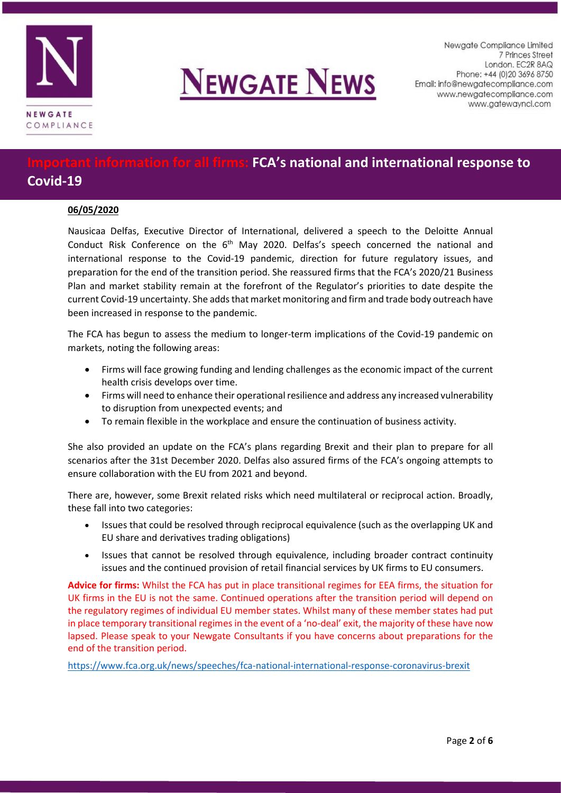



Newgate Compliance Limited 7 Princes Street London. EC2R 8AQ Phone: +44 (0) 20 3696 8750 Email: info@newgatecompliance.com www.newgatecompliance.com www.gatewayncl.com

# **All firms: FCA's national and international response to Covid-19**

### **06/05/2020**

Nausicaa Delfas, Executive Director of International, delivered a speech to the Deloitte Annual Conduct Risk Conference on the  $6<sup>th</sup>$  May 2020. Delfas's speech concerned the national and international response to the Covid-19 pandemic, direction for future regulatory issues, and preparation for the end of the transition period. She reassured firms that the FCA's 2020/21 Business Plan and market stability remain at the forefront of the Regulator's priorities to date despite the current Covid-19 uncertainty. She adds that market monitoring and firm and trade body outreach have been increased in response to the pandemic.

The FCA has begun to assess the medium to longer-term implications of the Covid-19 pandemic on markets, noting the following areas:

- Firms will face growing funding and lending challenges as the economic impact of the current health crisis develops over time.
- Firms will need to enhance their operational resilience and address any increased vulnerability to disruption from unexpected events; and
- To remain flexible in the workplace and ensure the continuation of business activity.

She also provided an update on the FCA's plans regarding Brexit and their plan to prepare for all scenarios after the 31st December 2020. Delfas also assured firms of the FCA's ongoing attempts to ensure collaboration with the EU from 2021 and beyond.

There are, however, some Brexit related risks which need multilateral or reciprocal action. Broadly, these fall into two categories:

- Issues that could be resolved through reciprocal equivalence (such as the overlapping UK and EU share and derivatives trading obligations)
- Issues that cannot be resolved through equivalence, including broader contract continuity issues and the continued provision of retail financial services by UK firms to EU consumers.

**Advice for firms:** Whilst the FCA has put in place transitional regimes for EEA firms, the situation for UK firms in the EU is not the same. Continued operations after the transition period will depend on the regulatory regimes of individual EU member states. Whilst many of these member states had put in place temporary transitional regimes in the event of a 'no-deal' exit, the majority of these have now lapsed. Please speak to your Newgate Consultants if you have concerns about preparations for the end of the transition period.

<https://www.fca.org.uk/news/speeches/fca-national-international-response-coronavirus-brexit>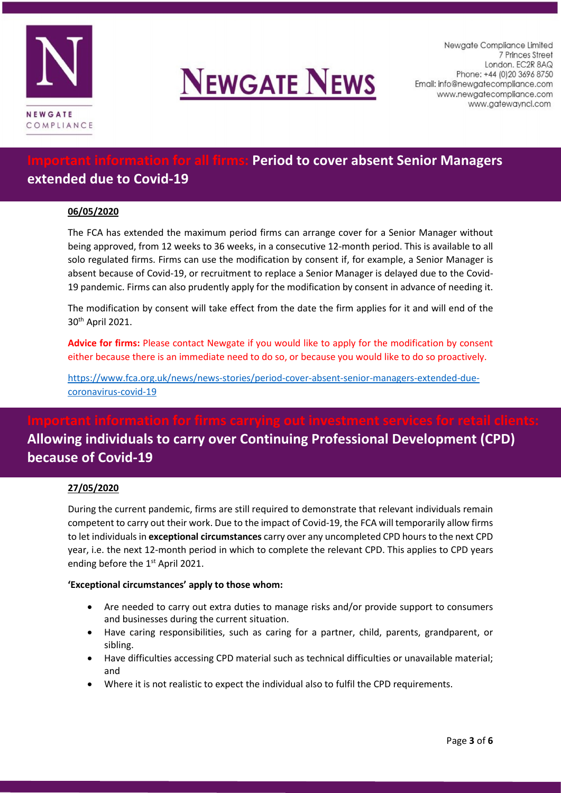



Newaate Compliance Limited 7 Princes Street London. EC2R 8AQ Phone: +44 (0) 20 3696 8750 Email: info@newgatecompliance.com www.newgatecompliance.com www.gatewayncl.com

# **firms: Period to cover absent Senior Managers extended due to Covid-19**

### **06/05/2020**

The FCA has extended the maximum period firms can arrange cover for a Senior Manager without being approved, from 12 weeks to 36 weeks, in a consecutive 12-month period. This is available to all solo regulated firms. Firms can use the modification by consent if, for example, a Senior Manager is absent because of Covid-19, or recruitment to replace a Senior Manager is delayed due to the Covid-19 pandemic. Firms can also prudently apply for the modification by consent in advance of needing it.

The modification by consent will take effect from the date the firm applies for it and will end of the 30th April 2021.

**Advice for firms:** Please contact Newgate if you would like to apply for the modification by consent either because there is an immediate need to do so, or because you would like to do so proactively.

[https://www.fca.org.uk/news/news-stories/period-cover-absent-senior-managers-extended-due](https://www.fca.org.uk/news/news-stories/period-cover-absent-senior-managers-extended-due-coronavirus-covid-19)[coronavirus-covid-19](https://www.fca.org.uk/news/news-stories/period-cover-absent-senior-managers-extended-due-coronavirus-covid-19)

# **Allowing individuals to carry over Continuing Professional Development (CPD) because of Covid-19**

### **27/05/2020**

During the current pandemic, firms are still required to demonstrate that relevant individuals remain competent to carry out their work. Due to the impact of Covid-19, the FCA will temporarily allow firms to let individuals in **exceptional circumstances** carry over any uncompleted CPD hours to the next CPD year, i.e. the next 12-month period in which to complete the relevant CPD. This applies to CPD years ending before the 1<sup>st</sup> April 2021.

#### **'Exceptional circumstances' apply to those whom:**

- Are needed to carry out extra duties to manage risks and/or provide support to consumers and businesses during the current situation.
- Have caring responsibilities, such as caring for a partner, child, parents, grandparent, or sibling.
- Have difficulties accessing CPD material such as technical difficulties or unavailable material; and
- Where it is not realistic to expect the individual also to fulfil the CPD requirements.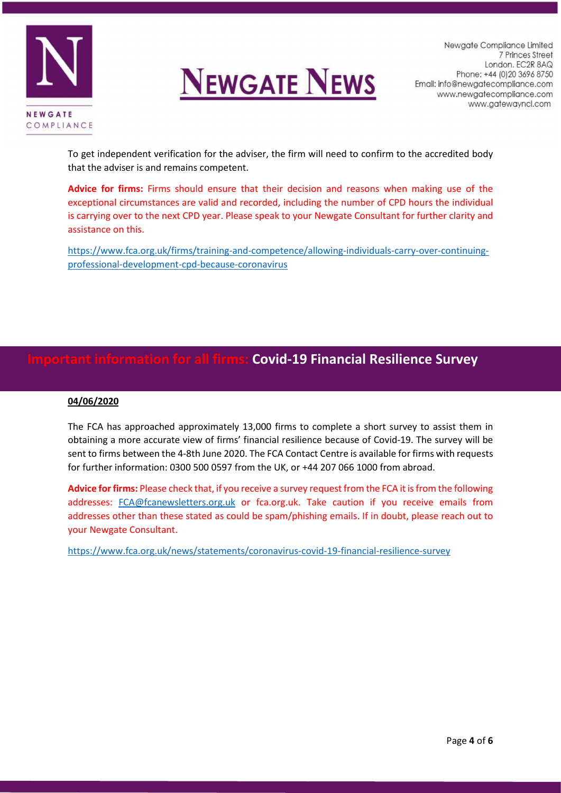



Newaate Compliance Limited 7 Princes Street London. EC2R 8AQ Phone: +44 (0) 20 3696 8750 Email: info@newgatecompliance.com www.newgatecompliance.com www.gatewayncl.com

To get independent verification for the adviser, the firm will need to confirm to the accredited body that the adviser is and remains competent.

**Advice for firms:** Firms should ensure that their decision and reasons when making use of the exceptional circumstances are valid and recorded, including the number of CPD hours the individual is carrying over to the next CPD year. Please speak to your Newgate Consultant for further clarity and assistance on this.

[https://www.fca.org.uk/firms/training-and-competence/allowing-individuals-carry-over-continuing](https://www.fca.org.uk/firms/training-and-competence/allowing-individuals-carry-over-continuing-professional-development-cpd-because-coronavirus)[professional-development-cpd-because-coronavirus](https://www.fca.org.uk/firms/training-and-competence/allowing-individuals-carry-over-continuing-professional-development-cpd-because-coronavirus)

## **Important information for all firms: Covid-19 Financial Resilience Survey**

### **04/06/2020**

The FCA has approached approximately 13,000 firms to complete a short survey to assist them in obtaining a more accurate view of firms' financial resilience because of Covid-19. The survey will be sent to firms between the 4-8th June 2020. The FCA Contact Centre is available for firms with requests for further information: 0300 500 0597 from the UK, or +44 207 066 1000 from abroad.

**Advice for firms:** Please check that, if you receive a survey request from the FCA it is from the following addresses: [FCA@fcanewsletters.org.uk](mailto:FCA@fcanewsletters.org.uk) or fca.org.uk. Take caution if you receive emails from addresses other than these stated as could be spam/phishing emails. If in doubt, please reach out to your Newgate Consultant.

<https://www.fca.org.uk/news/statements/coronavirus-covid-19-financial-resilience-survey>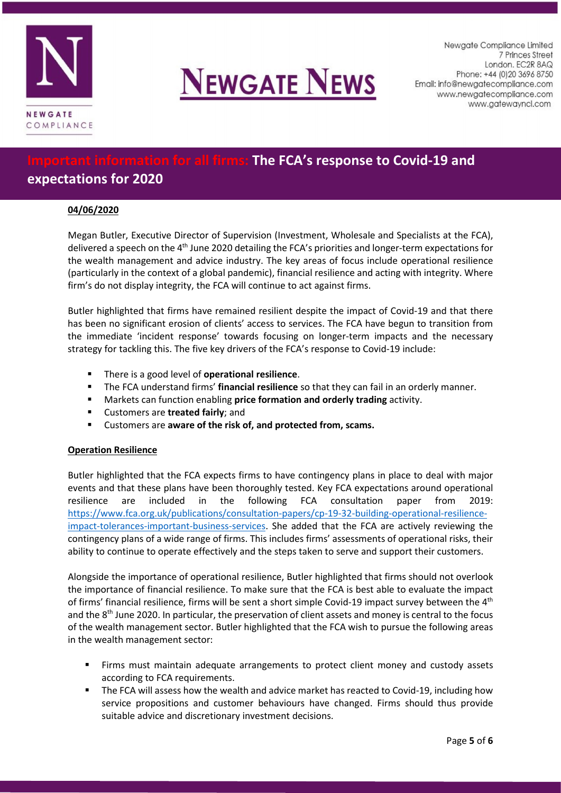



Newgate Compliance Limited 7 Princes Street London. EC2R 8AQ Phone: +44 (0) 20 3696 8750 Email: info@newgatecompliance.com www.newgatecompliance.com www.gatewayncl.com

# *<u>Ifterall firms:</u>* **The FCA's response to Covid-19 and expectations for 2020**

### **04/06/2020**

Megan Butler, Executive Director of Supervision (Investment, Wholesale and Specialists at the FCA), delivered a speech on the 4<sup>th</sup> June 2020 detailing the FCA's priorities and longer-term expectations for the wealth management and advice industry. The key areas of focus include operational resilience (particularly in the context of a global pandemic), financial resilience and acting with integrity. Where firm's do not display integrity, the FCA will continue to act against firms.

Butler highlighted that firms have remained resilient despite the impact of Covid-19 and that there has been no significant erosion of clients' access to services. The FCA have begun to transition from the immediate 'incident response' towards focusing on longer-term impacts and the necessary strategy for tackling this. The five key drivers of the FCA's response to Covid-19 include:

- There is a good level of **operational resilience**.
- The FCA understand firms' **financial resilience** so that they can fail in an orderly manner.
- Markets can function enabling **price formation and orderly trading** activity.
- Customers are **treated fairly**; and
- Customers are **aware of the risk of, and protected from, scams.**

### **Operation Resilience**

Butler highlighted that the FCA expects firms to have contingency plans in place to deal with major events and that these plans have been thoroughly tested. Key FCA expectations around operational resilience are included in the following FCA consultation paper from 2019: [https://www.fca.org.uk/publications/consultation-papers/cp-19-32-building-operational-resilience](https://www.fca.org.uk/publications/consultation-papers/cp-19-32-building-operational-resilience-impact-tolerances-important-business-services)[impact-tolerances-important-business-services.](https://www.fca.org.uk/publications/consultation-papers/cp-19-32-building-operational-resilience-impact-tolerances-important-business-services) She added that the FCA are actively reviewing the contingency plans of a wide range of firms. This includes firms' assessments of operational risks, their ability to continue to operate effectively and the steps taken to serve and support their customers.

Alongside the importance of operational resilience, Butler highlighted that firms should not overlook the importance of financial resilience. To make sure that the FCA is best able to evaluate the impact of firms' financial resilience, firms will be sent a short simple Covid-19 impact survey between the 4<sup>th</sup> and the 8<sup>th</sup> June 2020. In particular, the preservation of client assets and money is central to the focus of the wealth management sector. Butler highlighted that the FCA wish to pursue the following areas in the wealth management sector:

- Firms must maintain adequate arrangements to protect client money and custody assets according to FCA requirements.
- The FCA will assess how the wealth and advice market has reacted to Covid-19, including how service propositions and customer behaviours have changed. Firms should thus provide suitable advice and discretionary investment decisions.